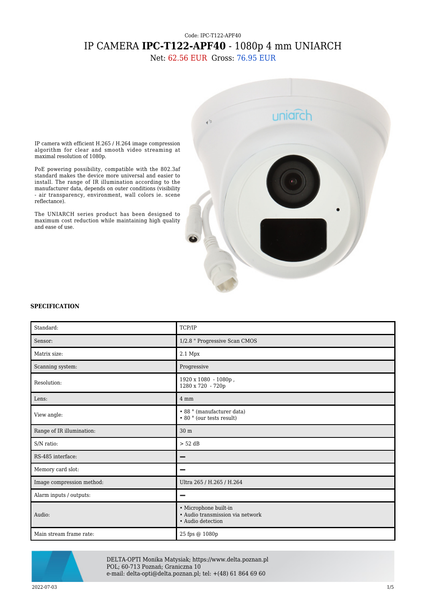## Code: IPC-T122-APF40 IP CAMERA **IPC-T122-APF40** - 1080p 4 mm UNIARCH

Net: 62.56 EUR Gross: 76.95 EUR



IP camera with efficient H.265 / H.264 image compression algorithm for clear and smooth video streaming at maximal resolution of 1080p.

PoE powering possibility, compatible with the 802.3af standard makes the device more universal and easier to install. The range of IR illumination according to the manufacturer data, depends on outer conditions (visibility - air transparency, environment, wall colors ie. scene reflectance).

The UNIARCH series product has been designed to maximum cost reduction while maintaining high quality and ease of use.

## **SPECIFICATION**

| Standard:                 | TCP/IP                                                                         |
|---------------------------|--------------------------------------------------------------------------------|
| Sensor:                   | 1/2.8 " Progressive Scan CMOS                                                  |
| Matrix size:              | 2.1 Mpx                                                                        |
| Scanning system:          | Progressive                                                                    |
| Resolution:               | 1920 x 1080 - 1080p,<br>1280 x 720 - 720p                                      |
| Lens:                     | 4 mm                                                                           |
| View angle:               | • 88 ° (manufacturer data)<br>$\bullet$ 80 $^{\circ}$ (our tests result)       |
| Range of IR illumination: | 30 <sub>m</sub>                                                                |
| S/N ratio:                | $> 52$ dB                                                                      |
| RS-485 interface:         | –                                                                              |
| Memory card slot:         |                                                                                |
| Image compression method: | Ultra 265 / H.265 / H.264                                                      |
| Alarm inputs / outputs:   |                                                                                |
| Audio:                    | · Microphone built-in<br>• Audio transmission via network<br>• Audio detection |
| Main stream frame rate:   | 25 fps @ 1080p                                                                 |



DELTA-OPTI Monika Matysiak; https://www.delta.poznan.pl POL; 60-713 Poznań; Graniczna 10 e-mail: delta-opti@delta.poznan.pl; tel: +(48) 61 864 69 60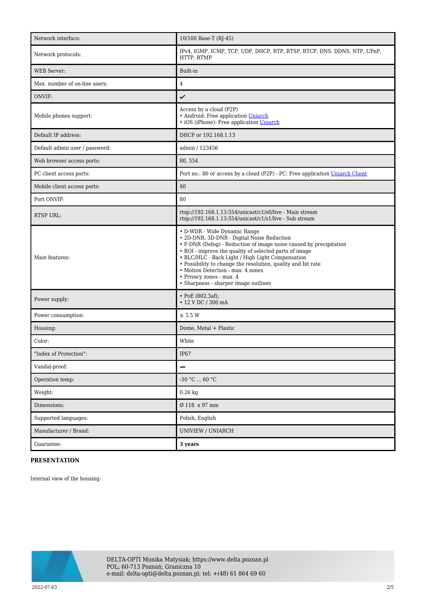| Network interface:             | 10/100 Base-T (RJ-45)                                                                                                                                                                                                                                                                                                                                                                                                                   |
|--------------------------------|-----------------------------------------------------------------------------------------------------------------------------------------------------------------------------------------------------------------------------------------------------------------------------------------------------------------------------------------------------------------------------------------------------------------------------------------|
| Network protocols:             | IPv4, IGMP, ICMP, TCP, UDP, DHCP, RTP, RTSP, RTCP, DNS, DDNS, NTP, UPnP,<br>HTTP, RTMP                                                                                                                                                                                                                                                                                                                                                  |
| <b>WEB</b> Server:             | Built-in                                                                                                                                                                                                                                                                                                                                                                                                                                |
| Max. number of on-line users:  | $\overline{4}$                                                                                                                                                                                                                                                                                                                                                                                                                          |
| ONVIF:                         | ✓                                                                                                                                                                                                                                                                                                                                                                                                                                       |
| Mobile phones support:         | Access by a cloud (P2P)<br>· Android: Free application Uniarch<br>· iOS (iPhone): Free application Uniarch                                                                                                                                                                                                                                                                                                                              |
| Default IP address:            | DHCP or 192.168.1.13                                                                                                                                                                                                                                                                                                                                                                                                                    |
| Default admin user / password: | admin / 123456                                                                                                                                                                                                                                                                                                                                                                                                                          |
| Web browser access ports:      | 80, 554                                                                                                                                                                                                                                                                                                                                                                                                                                 |
| PC client access ports:        | Port no.: 80 or access by a cloud (P2P) - PC: Free application Uniarch Client                                                                                                                                                                                                                                                                                                                                                           |
| Mobile client access ports:    | 80                                                                                                                                                                                                                                                                                                                                                                                                                                      |
| Port ONVIF:                    | 80                                                                                                                                                                                                                                                                                                                                                                                                                                      |
| <b>RTSP URL:</b>               | rtsp://192.168.1.13:554/unicast/c1/s0/live - Main stream<br>rtsp://192.168.1.13:554/unicast/c1/s1/live - Sub stream                                                                                                                                                                                                                                                                                                                     |
| Main features:                 | • D-WDR - Wide Dynamic Range<br>• 2D-DNR, 3D-DNR - Digital Noise Reduction<br>• F-DNR (Defog) - Reduction of image noise caused by precipitation<br>• ROI - improve the quality of selected parts of image<br>• BLC/HLC - Back Light / High Light Compensation<br>• Possibility to change the resolution, quality and bit rate<br>• Motion Detection - max. 4 zones<br>• Privacy zones - max. 4<br>• Sharpness - sharper image outlines |
| Power supply:                  | $\cdot$ PoE (802.3af),<br>• 12 V DC / 300 mA                                                                                                                                                                                                                                                                                                                                                                                            |
| Power consumption:             | $\leq$ 3.5 W                                                                                                                                                                                                                                                                                                                                                                                                                            |
| Housing:                       | Dome, Metal + Plastic                                                                                                                                                                                                                                                                                                                                                                                                                   |
| Color:                         | White                                                                                                                                                                                                                                                                                                                                                                                                                                   |
| 'Index of Protection":         | IP67                                                                                                                                                                                                                                                                                                                                                                                                                                    |
| Vandal-proof:                  | -                                                                                                                                                                                                                                                                                                                                                                                                                                       |
| Operation temp:                | -30 °C $\ldots$ 60 °C                                                                                                                                                                                                                                                                                                                                                                                                                   |
| Weight:                        | $0.26$ kg                                                                                                                                                                                                                                                                                                                                                                                                                               |
| Dimensions:                    | Ø 118 x 97 mm                                                                                                                                                                                                                                                                                                                                                                                                                           |
| Supported languages:           | Polish, English                                                                                                                                                                                                                                                                                                                                                                                                                         |
| Manufacturer / Brand:          | UNIVIEW / UNIARCH                                                                                                                                                                                                                                                                                                                                                                                                                       |
| Guarantee:                     | 3 years                                                                                                                                                                                                                                                                                                                                                                                                                                 |

## **PRESENTATION**

Internal view of the housing:

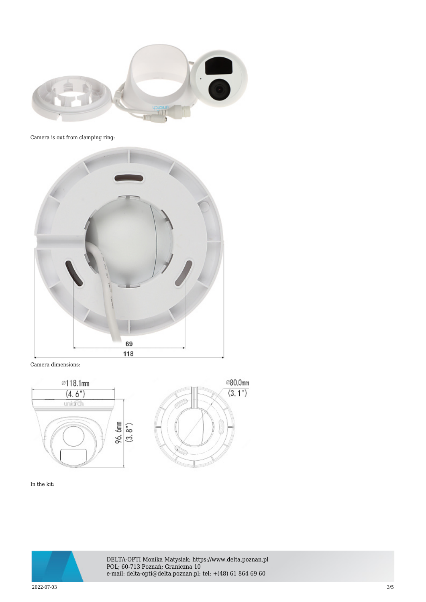

Camera is out from clamping ring:



Camera dimensions:



In the kit:



DELTA-OPTI Monika Matysiak; https://www.delta.poznan.pl POL; 60-713 Poznań; Graniczna 10 e-mail: delta-opti@delta.poznan.pl; tel: +(48) 61 864 69 60

2022-07-03 3/5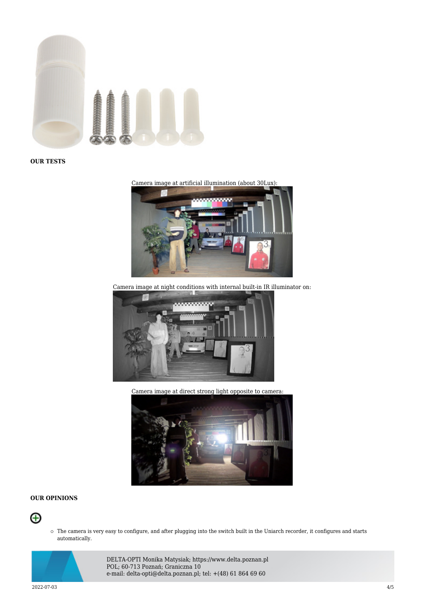

**OUR TESTS**

Camera image at artificial illumination (about 30Lux):



Camera image at night conditions with internal built-in IR illuminator on:



Camera image at direct strong light opposite to camera:



## **OUR OPINIONS**



The camera is very easy to configure, and after plugging into the switch built in the Uniarch recorder, it configures and starts automatically.



DELTA-OPTI Monika Matysiak; https://www.delta.poznan.pl POL; 60-713 Poznań; Graniczna 10 e-mail: delta-opti@delta.poznan.pl; tel: +(48) 61 864 69 60

2022-07-03 4/5